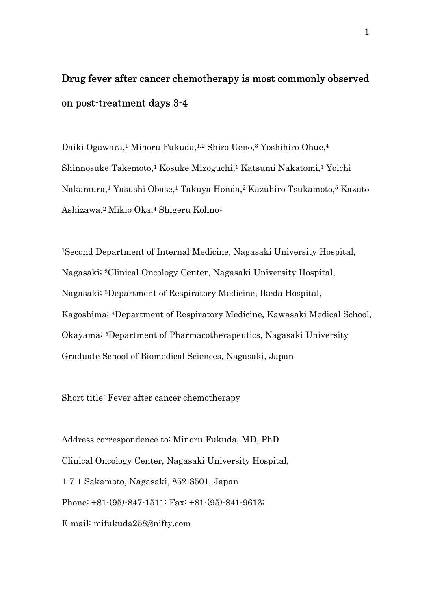## Drug fever after cancer chemotherapy is most commonly observed on post-treatment days 3-4

Daiki Ogawara,1 Minoru Fukuda,1,2 Shiro Ueno,3 Yoshihiro Ohue,4 Shinnosuke Takemoto,1 Kosuke Mizoguchi,1 Katsumi Nakatomi,1 Yoichi Nakamura,1 Yasushi Obase,1 Takuya Honda,2 Kazuhiro Tsukamoto,5 Kazuto Ashizawa,2 Mikio Oka,4 Shigeru Kohno1

1Second Department of Internal Medicine, Nagasaki University Hospital, Nagasaki; 2Clinical Oncology Center, Nagasaki University Hospital, Nagasaki; 3Department of Respiratory Medicine, Ikeda Hospital, Kagoshima; 4Department of Respiratory Medicine, Kawasaki Medical School, Okayama; 5Department of Pharmacotherapeutics, Nagasaki University Graduate School of Biomedical Sciences, Nagasaki, Japan

Short title: Fever after cancer chemotherapy

Address correspondence to: Minoru Fukuda, MD, PhD Clinical Oncology Center, Nagasaki University Hospital, 1-7-1 Sakamoto, Nagasaki, 852-8501, Japan Phone: +81-(95)-847-1511; Fax: +81-(95)-841-9613; E-mail: mifukuda258@nifty.com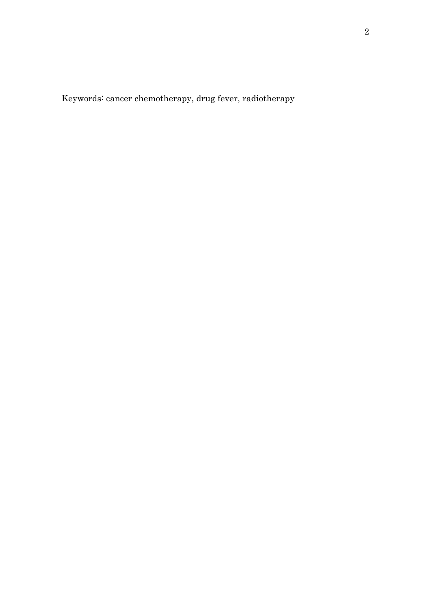Keywords: cancer chemotherapy, drug fever, radiotherapy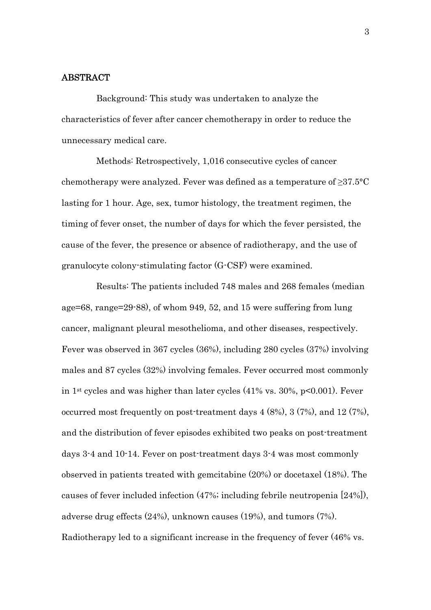#### ABSTRACT

Background: This study was undertaken to analyze the characteristics of fever after cancer chemotherapy in order to reduce the unnecessary medical care.

 Methods: Retrospectively, 1,016 consecutive cycles of cancer chemotherapy were analyzed. Fever was defined as a temperature of  $\geq 37.5$ °C lasting for 1 hour. Age, sex, tumor histology, the treatment regimen, the timing of fever onset, the number of days for which the fever persisted, the cause of the fever, the presence or absence of radiotherapy, and the use of granulocyte colony-stimulating factor (G-CSF) were examined.

 Results: The patients included 748 males and 268 females (median age=68, range=29-88), of whom 949, 52, and 15 were suffering from lung cancer, malignant pleural mesothelioma, and other diseases, respectively. Fever was observed in 367 cycles (36%), including 280 cycles (37%) involving males and 87 cycles (32%) involving females. Fever occurred most commonly in 1st cycles and was higher than later cycles (41% vs. 30%, p<0.001). Fever occurred most frequently on post-treatment days 4 (8%), 3 (7%), and 12 (7%), and the distribution of fever episodes exhibited two peaks on post-treatment days 3-4 and 10-14. Fever on post-treatment days 3-4 was most commonly observed in patients treated with gemcitabine (20%) or docetaxel (18%). The causes of fever included infection (47%; including febrile neutropenia [24%]), adverse drug effects (24%), unknown causes (19%), and tumors (7%). Radiotherapy led to a significant increase in the frequency of fever (46% vs.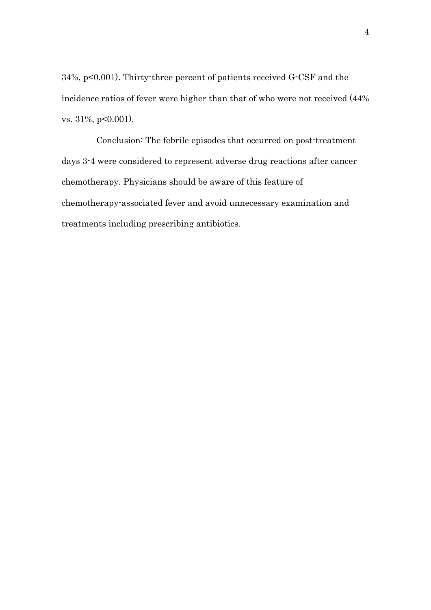34%, p<0.001). Thirty-three percent of patients received G-CSF and the incidence ratios of fever were higher than that of who were not received (44% vs. 31%, p<0.001).

 Conclusion: The febrile episodes that occurred on post-treatment days 3-4 were considered to represent adverse drug reactions after cancer chemotherapy. Physicians should be aware of this feature of chemotherapy-associated fever and avoid unnecessary examination and treatments including prescribing antibiotics.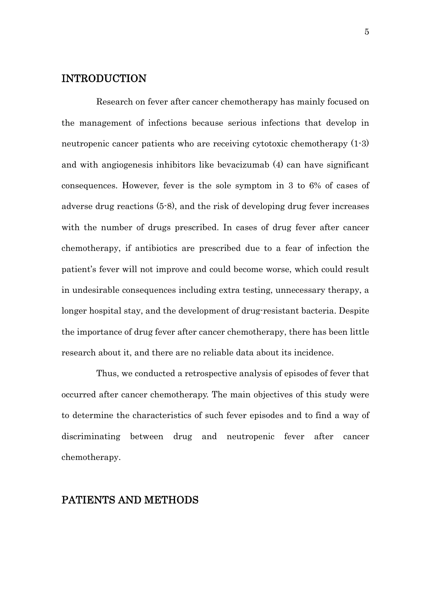## INTRODUCTION

Research on fever after cancer chemotherapy has mainly focused on the management of infections because serious infections that develop in neutropenic cancer patients who are receiving cytotoxic chemotherapy (1-3) and with angiogenesis inhibitors like bevacizumab (4) can have significant consequences. However, fever is the sole symptom in 3 to 6% of cases of adverse drug reactions (5-8), and the risk of developing drug fever increases with the number of drugs prescribed. In cases of drug fever after cancer chemotherapy, if antibiotics are prescribed due to a fear of infection the patient's fever will not improve and could become worse, which could result in undesirable consequences including extra testing, unnecessary therapy, a longer hospital stay, and the development of drug-resistant bacteria. Despite the importance of drug fever after cancer chemotherapy, there has been little research about it, and there are no reliable data about its incidence.

Thus, we conducted a retrospective analysis of episodes of fever that occurred after cancer chemotherapy. The main objectives of this study were to determine the characteristics of such fever episodes and to find a way of discriminating between drug and neutropenic fever after cancer chemotherapy.

## PATIENTS AND METHODS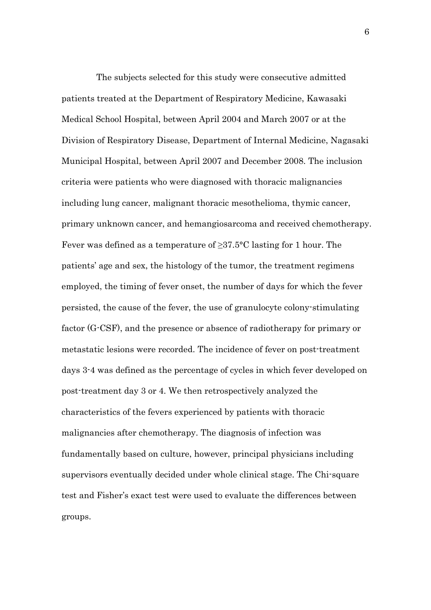The subjects selected for this study were consecutive admitted patients treated at the Department of Respiratory Medicine, Kawasaki Medical School Hospital, between April 2004 and March 2007 or at the Division of Respiratory Disease, Department of Internal Medicine, Nagasaki Municipal Hospital, between April 2007 and December 2008. The inclusion criteria were patients who were diagnosed with thoracic malignancies including lung cancer, malignant thoracic mesothelioma, thymic cancer, primary unknown cancer, and hemangiosarcoma and received chemotherapy. Fever was defined as a temperature of ≥37.5°C lasting for 1 hour. The patients' age and sex, the histology of the tumor, the treatment regimens employed, the timing of fever onset, the number of days for which the fever persisted, the cause of the fever, the use of granulocyte colony-stimulating factor (G-CSF), and the presence or absence of radiotherapy for primary or metastatic lesions were recorded. The incidence of fever on post-treatment days 3-4 was defined as the percentage of cycles in which fever developed on post-treatment day 3 or 4. We then retrospectively analyzed the characteristics of the fevers experienced by patients with thoracic malignancies after chemotherapy. The diagnosis of infection was fundamentally based on culture, however, principal physicians including supervisors eventually decided under whole clinical stage. The Chi-square test and Fisher's exact test were used to evaluate the differences between groups.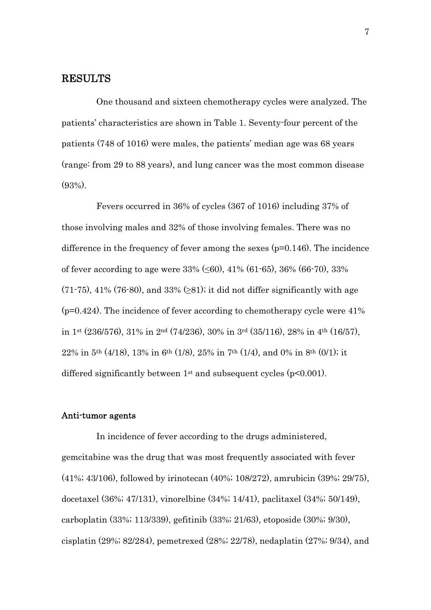## RESULTS

One thousand and sixteen chemotherapy cycles were analyzed. The patients' characteristics are shown in Table 1. Seventy-four percent of the patients (748 of 1016) were males, the patients' median age was 68 years (range: from 29 to 88 years), and lung cancer was the most common disease (93%).

Fevers occurred in 36% of cycles (367 of 1016) including 37% of those involving males and 32% of those involving females. There was no difference in the frequency of fever among the sexes  $(p=0.146)$ . The incidence of fever according to age were  $33\%$  ( $\leq 60$ ),  $41\%$  ( $61-65$ ),  $36\%$  ( $66-70$ ),  $33\%$  $(71-75)$ , 41% (76-80), and 33% ( $\geq$ 81); it did not differ significantly with age  $(p=0.424)$ . The incidence of fever according to chemotherapy cycle were 41% in 1st (236/576), 31% in 2nd (74/236), 30% in 3rd (35/116), 28% in 4th (16/57), 22% in 5<sup>th</sup> (4/18), 13% in 6<sup>th</sup> (1/8), 25% in 7<sup>th</sup> (1/4), and 0% in 8<sup>th</sup> (0/1); it differed significantly between  $1<sup>st</sup>$  and subsequent cycles ( $p<0.001$ ).

#### Anti-tumor agents

In incidence of fever according to the drugs administered, gemcitabine was the drug that was most frequently associated with fever (41%; 43/106), followed by irinotecan (40%; 108/272), amrubicin (39%; 29/75), docetaxel (36%; 47/131), vinorelbine (34%; 14/41), paclitaxel (34%; 50/149), carboplatin (33%; 113/339), gefitinib (33%; 21/63), etoposide (30%; 9/30), cisplatin (29%; 82/284), pemetrexed (28%; 22/78), nedaplatin (27%; 9/34), and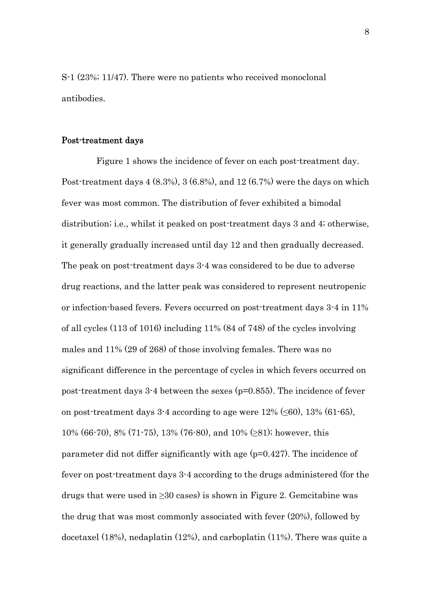S-1 (23%; 11/47). There were no patients who received monoclonal antibodies.

#### Post-treatment days

Figure 1 shows the incidence of fever on each post-treatment day. Post-treatment days  $4(8.3\%)$ ,  $3(6.8\%)$ , and  $12(6.7\%)$  were the days on which fever was most common. The distribution of fever exhibited a bimodal distribution; i.e., whilst it peaked on post-treatment days 3 and 4; otherwise, it generally gradually increased until day 12 and then gradually decreased. The peak on post-treatment days 3-4 was considered to be due to adverse drug reactions, and the latter peak was considered to represent neutropenic or infection-based fevers. Fevers occurred on post-treatment days 3-4 in 11% of all cycles (113 of 1016) including 11% (84 of 748) of the cycles involving males and 11% (29 of 268) of those involving females. There was no significant difference in the percentage of cycles in which fevers occurred on post-treatment days 3-4 between the sexes (p=0.855). The incidence of fever on post-treatment days  $3-4$  according to age were  $12\%$  (<60),  $13\%$  (61-65), 10% (66-70), 8% (71-75), 13% (76-80), and 10% (≥81); however, this parameter did not differ significantly with age (p=0.427). The incidence of fever on post-treatment days 3-4 according to the drugs administered (for the drugs that were used in  $\geq$ 30 cases) is shown in Figure 2. Gemeitabine was the drug that was most commonly associated with fever (20%), followed by docetaxel (18%), nedaplatin (12%), and carboplatin (11%). There was quite a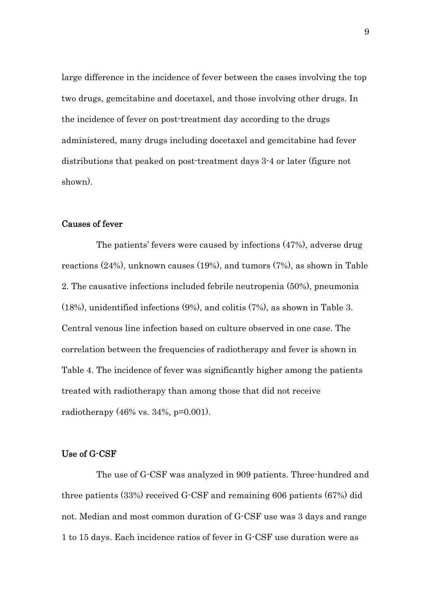large difference in the incidence of fever between the cases involving the top two drugs, gemcitabine and docetaxel, and those involving other drugs. In the incidence of fever on post-treatment day according to the drugs administered, many drugs including docetaxel and gemcitabine had fever distributions that peaked on post-treatment days 3-4 or later (figure not shown).

#### Causes of fever

The patients' fevers were caused by infections (47%), adverse drug reactions (24%), unknown causes (19%), and tumors (7%), as shown in Table 2. The causative infections included febrile neutropenia (50%), pneumonia (18%), unidentified infections (9%), and colitis (7%), as shown in Table 3. Central venous line infection based on culture observed in one case. The correlation between the frequencies of radiotherapy and fever is shown in Table 4. The incidence of fever was significantly higher among the patients treated with radiotherapy than among those that did not receive radiotherapy (46% vs. 34%, p=0.001).

#### Use of G-CSF

The use of G-CSF was analyzed in 909 patients. Three-hundred and three patients (33%) received G-CSF and remaining 606 patients (67%) did not. Median and most common duration of G-CSF use was 3 days and range 1 to 15 days. Each incidence ratios of fever in G-CSF use duration were as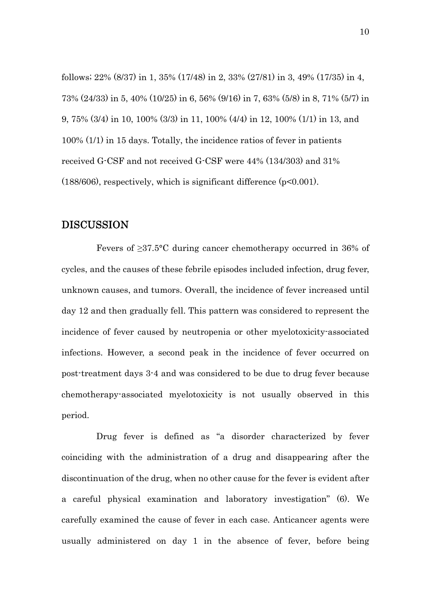follows; 22% (8/37) in 1, 35% (17/48) in 2, 33% (27/81) in 3, 49% (17/35) in 4, 73% (24/33) in 5, 40% (10/25) in 6, 56% (9/16) in 7, 63% (5/8) in 8, 71% (5/7) in 9, 75% (3/4) in 10, 100% (3/3) in 11, 100% (4/4) in 12, 100% (1/1) in 13, and 100% (1/1) in 15 days. Totally, the incidence ratios of fever in patients received G-CSF and not received G-CSF were 44% (134/303) and 31%  $(188/606)$ , respectively, which is significant difference  $(p<0.001)$ .

### DISCUSSION

 Fevers of ≥37.5°C during cancer chemotherapy occurred in 36% of cycles, and the causes of these febrile episodes included infection, drug fever, unknown causes, and tumors. Overall, the incidence of fever increased until day 12 and then gradually fell. This pattern was considered to represent the incidence of fever caused by neutropenia or other myelotoxicity-associated infections. However, a second peak in the incidence of fever occurred on post-treatment days 3-4 and was considered to be due to drug fever because chemotherapy-associated myelotoxicity is not usually observed in this period.

Drug fever is defined as "a disorder characterized by fever coinciding with the administration of a drug and disappearing after the discontinuation of the drug, when no other cause for the fever is evident after a careful physical examination and laboratory investigation" (6). We carefully examined the cause of fever in each case. Anticancer agents were usually administered on day 1 in the absence of fever, before being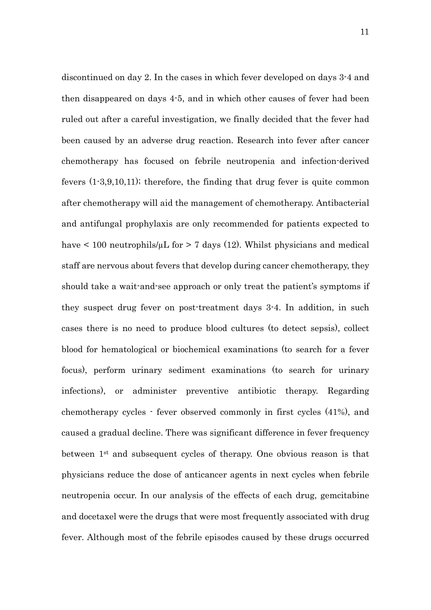discontinued on day 2. In the cases in which fever developed on days 3-4 and then disappeared on days 4-5, and in which other causes of fever had been ruled out after a careful investigation, we finally decided that the fever had been caused by an adverse drug reaction. Research into fever after cancer chemotherapy has focused on febrile neutropenia and infection-derived fevers (1-3,9,10,11); therefore, the finding that drug fever is quite common after chemotherapy will aid the management of chemotherapy. Antibacterial and antifungal prophylaxis are only recommended for patients expected to have  $\leq 100$  neutrophils/ $\mu$ L for  $\geq 7$  days (12). Whilst physicians and medical staff are nervous about fevers that develop during cancer chemotherapy, they should take a wait-and-see approach or only treat the patient's symptoms if they suspect drug fever on post-treatment days 3-4. In addition, in such cases there is no need to produce blood cultures (to detect sepsis), collect blood for hematological or biochemical examinations (to search for a fever focus), perform urinary sediment examinations (to search for urinary infections), or administer preventive antibiotic therapy. Regarding chemotherapy cycles - fever observed commonly in first cycles (41%), and caused a gradual decline. There was significant difference in fever frequency between 1st and subsequent cycles of therapy. One obvious reason is that physicians reduce the dose of anticancer agents in next cycles when febrile neutropenia occur. In our analysis of the effects of each drug, gemcitabine and docetaxel were the drugs that were most frequently associated with drug fever. Although most of the febrile episodes caused by these drugs occurred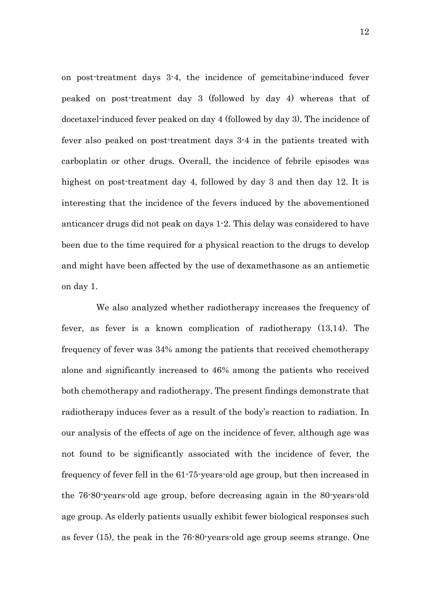on post-treatment days 3-4, the incidence of gemcitabine-induced fever peaked on post-treatment day 3 (followed by day 4) whereas that of docetaxel-induced fever peaked on day 4 (followed by day 3). The incidence of fever also peaked on post-treatment days 3-4 in the patients treated with carboplatin or other drugs. Overall, the incidence of febrile episodes was highest on post-treatment day 4, followed by day 3 and then day 12. It is interesting that the incidence of the fevers induced by the abovementioned anticancer drugs did not peak on days 1-2. This delay was considered to have been due to the time required for a physical reaction to the drugs to develop and might have been affected by the use of dexamethasone as an antiemetic on day 1.

We also analyzed whether radiotherapy increases the frequency of fever, as fever is a known complication of radiotherapy (13,14). The frequency of fever was 34% among the patients that received chemotherapy alone and significantly increased to 46% among the patients who received both chemotherapy and radiotherapy. The present findings demonstrate that radiotherapy induces fever as a result of the body's reaction to radiation. In our analysis of the effects of age on the incidence of fever, although age was not found to be significantly associated with the incidence of fever, the frequency of fever fell in the 61-75-years-old age group, but then increased in the 76-80-years-old age group, before decreasing again in the 80-years-old age group. As elderly patients usually exhibit fewer biological responses such as fever (15), the peak in the 76-80-years-old age group seems strange. One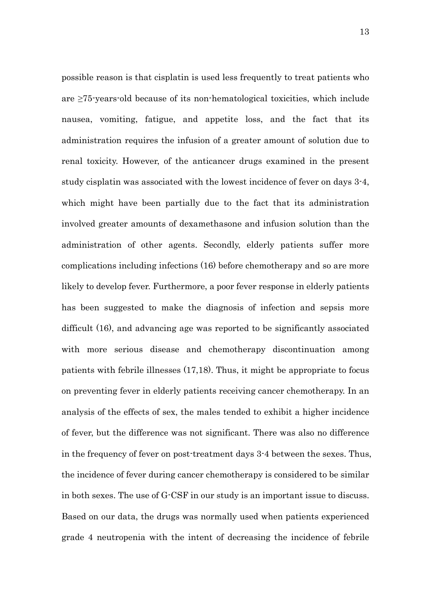possible reason is that cisplatin is used less frequently to treat patients who are ≥75-years-old because of its non-hematological toxicities, which include nausea, vomiting, fatigue, and appetite loss, and the fact that its administration requires the infusion of a greater amount of solution due to renal toxicity. However, of the anticancer drugs examined in the present study cisplatin was associated with the lowest incidence of fever on days 3-4, which might have been partially due to the fact that its administration involved greater amounts of dexamethasone and infusion solution than the administration of other agents. Secondly, elderly patients suffer more complications including infections (16) before chemotherapy and so are more likely to develop fever. Furthermore, a poor fever response in elderly patients has been suggested to make the diagnosis of infection and sepsis more difficult (16), and advancing age was reported to be significantly associated with more serious disease and chemotherapy discontinuation among patients with febrile illnesses (17,18). Thus, it might be appropriate to focus on preventing fever in elderly patients receiving cancer chemotherapy. In an analysis of the effects of sex, the males tended to exhibit a higher incidence of fever, but the difference was not significant. There was also no difference in the frequency of fever on post-treatment days 3-4 between the sexes. Thus, the incidence of fever during cancer chemotherapy is considered to be similar in both sexes. The use of G-CSF in our study is an important issue to discuss. Based on our data, the drugs was normally used when patients experienced grade 4 neutropenia with the intent of decreasing the incidence of febrile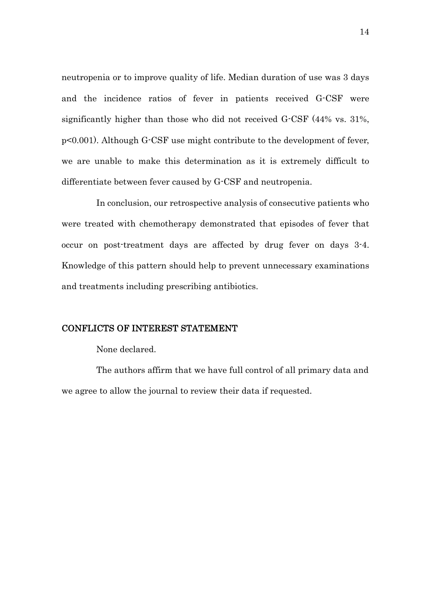neutropenia or to improve quality of life. Median duration of use was 3 days and the incidence ratios of fever in patients received G-CSF were significantly higher than those who did not received G-CSF (44% vs. 31%, p<0.001). Although G-CSF use might contribute to the development of fever, we are unable to make this determination as it is extremely difficult to differentiate between fever caused by G-CSF and neutropenia.

In conclusion, our retrospective analysis of consecutive patients who were treated with chemotherapy demonstrated that episodes of fever that occur on post-treatment days are affected by drug fever on days 3-4. Knowledge of this pattern should help to prevent unnecessary examinations and treatments including prescribing antibiotics.

#### CONFLICTS OF INTEREST STATEMENT

None declared.

 The authors affirm that we have full control of all primary data and we agree to allow the journal to review their data if requested.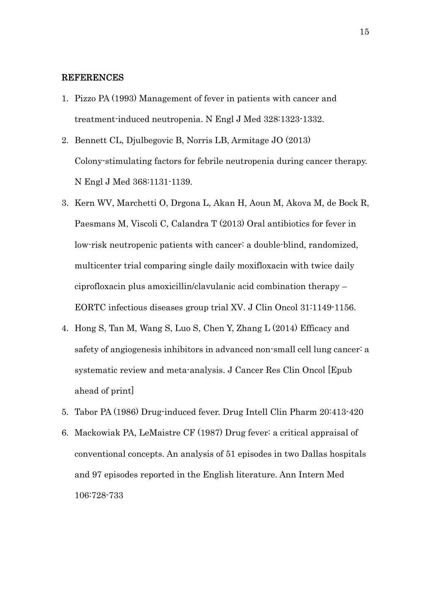#### REFERENCES

- 1. Pizzo PA (1993) Management of fever in patients with cancer and treatment-induced neutropenia. N Engl J Med 328:1323-1332.
- 2. Bennett CL, Djulbegovic B, Norris LB, Armitage JO (2013) Colony-stimulating factors for febrile neutropenia during cancer therapy. N Engl J Med 368:1131-1139.
- 3. Kern WV, Marchetti O, Drgona L, Akan H, Aoun M, Akova M, de Bock R, Paesmans M, Viscoli C, Calandra T (2013) Oral antibiotics for fever in low-risk neutropenic patients with cancer: a double-blind, randomized, multicenter trial comparing single daily moxifloxacin with twice daily ciprofloxacin plus amoxicillin/clavulanic acid combination therapy – EORTC infectious diseases group trial XV. J Clin Oncol 31:1149-1156.
- 4. Hong S, Tan M, Wang S, Luo S, Chen Y, Zhang L (2014) Efficacy and safety of angiogenesis inhibitors in advanced non-small cell lung cancer: a systematic review and meta-analysis. J Cancer Res Clin Oncol [Epub ahead of print]
- 5. Tabor PA (1986) Drug-induced fever. Drug Intell Clin Pharm 20:413-420
- 6. Mackowiak PA, LeMaistre CF (1987) Drug fever: a critical appraisal of conventional concepts. An analysis of 51 episodes in two Dallas hospitals and 97 episodes reported in the English literature. Ann Intern Med 106:728-733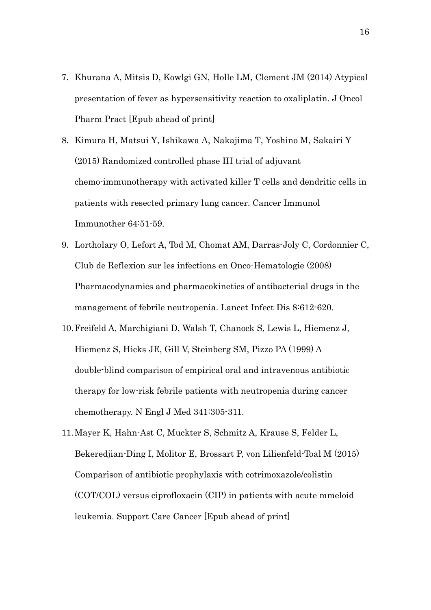- 7. Khurana A, Mitsis D, Kowlgi GN, Holle LM, Clement JM (2014) Atypical presentation of fever as hypersensitivity reaction to oxaliplatin. J Oncol Pharm Pract [Epub ahead of print]
- 8. Kimura H, Matsui Y, Ishikawa A, Nakajima T, Yoshino M, Sakairi Y (2015) Randomized controlled phase III trial of adjuvant chemo-immunotherapy with activated killer T cells and dendritic cells in patients with resected primary lung cancer. Cancer Immunol Immunother 64:51-59.
- 9. Lortholary O, Lefort A, Tod M, Chomat AM, Darras-Joly C, Cordonnier C, Club de Reflexion sur les infections en Onco-Hematologie (2008) Pharmacodynamics and pharmacokinetics of antibacterial drugs in the management of febrile neutropenia. Lancet Infect Dis 8:612-620.
- 10.Freifeld A, Marchigiani D, Walsh T, Chanock S, Lewis L, Hiemenz J, Hiemenz S, Hicks JE, Gill V, Steinberg SM, Pizzo PA (1999) A double-blind comparison of empirical oral and intravenous antibiotic therapy for low-risk febrile patients with neutropenia during cancer chemotherapy. N Engl J Med 341:305-311.
- 11.Mayer K, Hahn-Ast C, Muckter S, Schmitz A, Krause S, Felder L, Bekeredjian-Ding I, Molitor E, Brossart P, von Lilienfeld-Toal M (2015) Comparison of antibiotic prophylaxis with cotrimoxazole/colistin (COT/COL) versus ciprofloxacin (CIP) in patients with acute mmeloid leukemia. Support Care Cancer [Epub ahead of print]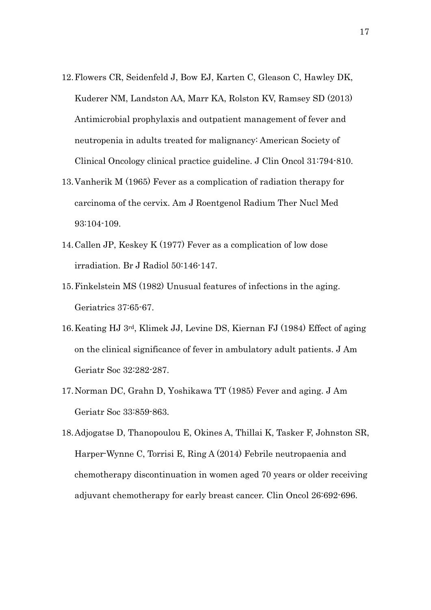- 12.Flowers CR, Seidenfeld J, Bow EJ, Karten C, Gleason C, Hawley DK, Kuderer NM, Landston AA, Marr KA, Rolston KV, Ramsey SD (2013) Antimicrobial prophylaxis and outpatient management of fever and neutropenia in adults treated for malignancy: American Society of Clinical Oncology clinical practice guideline. J Clin Oncol 31:794-810.
- 13.Vanherik M (1965) Fever as a complication of radiation therapy for carcinoma of the cervix. Am J Roentgenol Radium Ther Nucl Med 93:104-109.
- 14.Callen JP, Keskey K (1977) Fever as a complication of low dose irradiation. Br J Radiol 50:146-147.
- 15.Finkelstein MS (1982) Unusual features of infections in the aging. Geriatrics 37:65-67.
- 16.Keating HJ 3rd, Klimek JJ, Levine DS, Kiernan FJ (1984) Effect of aging on the clinical significance of fever in ambulatory adult patients. J Am Geriatr Soc 32:282-287.
- 17.Norman DC, Grahn D, Yoshikawa TT (1985) Fever and aging. J Am Geriatr Soc 33:859-863.
- 18.Adjogatse D, Thanopoulou E, Okines A, Thillai K, Tasker F, Johnston SR, Harper-Wynne C, Torrisi E, Ring A (2014) Febrile neutropaenia and chemotherapy discontinuation in women aged 70 years or older receiving adjuvant chemotherapy for early breast cancer. Clin Oncol 26:692-696.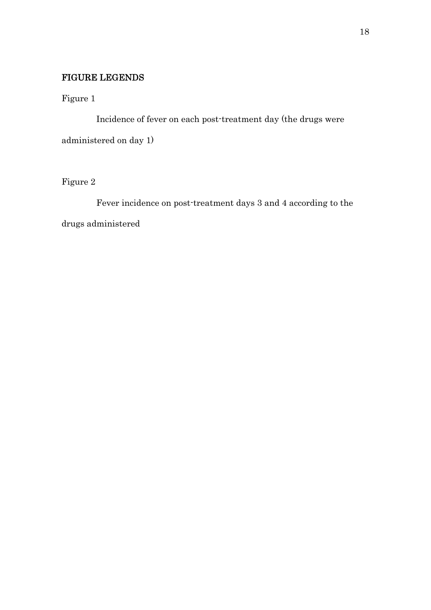## FIGURE LEGENDS

Figure 1

Incidence of fever on each post-treatment day (the drugs were administered on day 1)

Figure 2

Fever incidence on post-treatment days 3 and 4 according to the drugs administered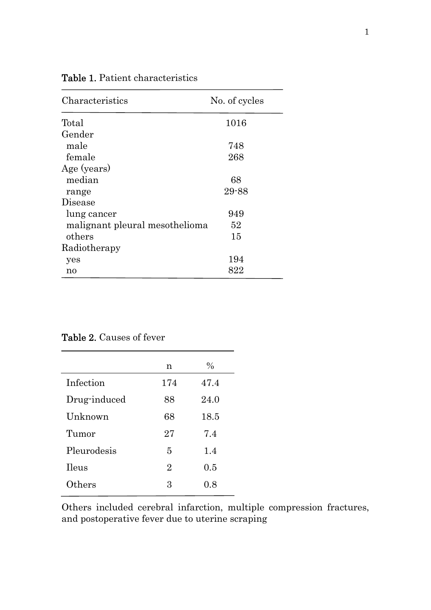| Characteristics                | No. of cycles |
|--------------------------------|---------------|
| Total                          | 1016          |
| Gender                         |               |
| male                           | 748           |
| female                         | 268           |
| Age (years)                    |               |
| median                         | 68            |
| range                          | 29-88         |
| Disease                        |               |
| lung cancer                    | 949           |
| malignant pleural mesothelioma | 52            |
| others                         | 15            |
| Radiotherapy                   |               |
| yes                            | 194           |
| n0                             | 822           |

Table 1. Patient characteristics

Table 2. Causes of fever

|              | n              | $\frac{0}{0}$ |
|--------------|----------------|---------------|
| Infection    | 174            | 47.4          |
| Drug-induced | 88             | 24.0          |
| Unknown      | 68             | 18.5          |
| Tumor        | 27             | 7.4           |
| Pleurodesis  | 5              | 1.4           |
| <b>Ileus</b> | $\overline{2}$ | 0.5           |
| Others       | З              | 0.8           |

Others included cerebral infarction, multiple compression fractures, and postoperative fever due to uterine scraping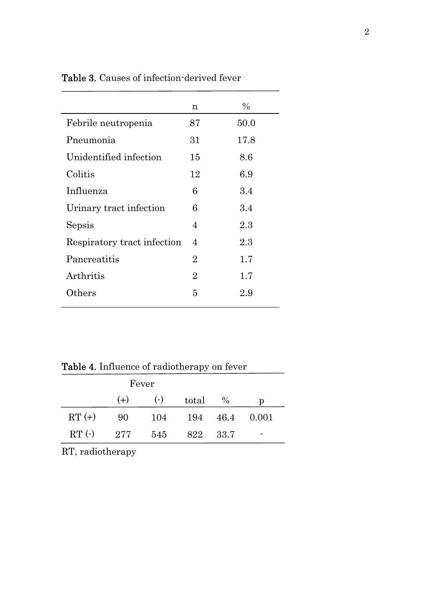|                             | n              | $\%$ |
|-----------------------------|----------------|------|
| Febrile neutropenia         | 87             | 50.0 |
| Pneumonia                   | 31             | 17.8 |
| Unidentified infection      | 15             | 8.6  |
| Colitis                     | 12             | 6.9  |
| Influenza                   | 6              | 3.4  |
| Urinary tract infection     | 6              | 3.4  |
| Sepsis                      | 4              | 2.3  |
| Respiratory tract infection | $\overline{4}$ | 2.3  |
| Pancreatitis                | $\overline{2}$ | 1.7  |
| Arthritis                   | $\overline{2}$ | 1.7  |
| Others                      | 5              | 2.9  |
|                             |                |      |

Table 3. Causes of infection-derived fever

Table 4. Influence of radiotherapy on fever

| Fever       |       |       |          |                |   |  |
|-------------|-------|-------|----------|----------------|---|--|
|             | $(+)$ | $(-)$ | total    | $\frac{0}{0}$  | р |  |
| $RT(+)$     | -90   | 104   |          | 194 46.4 0.001 |   |  |
| $RT(\cdot)$ | 277   | 545   | 822 33.7 |                |   |  |

RT, radiotherapy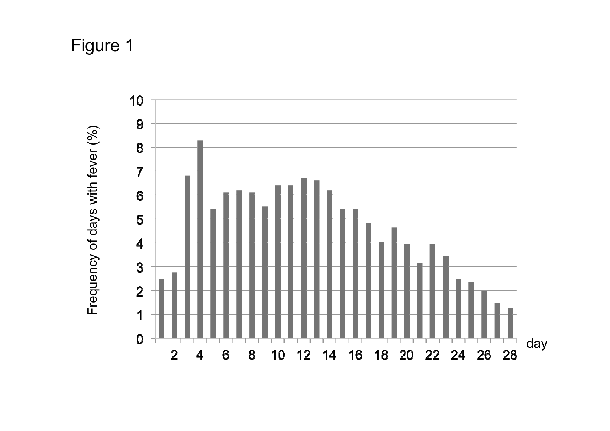Figure 1